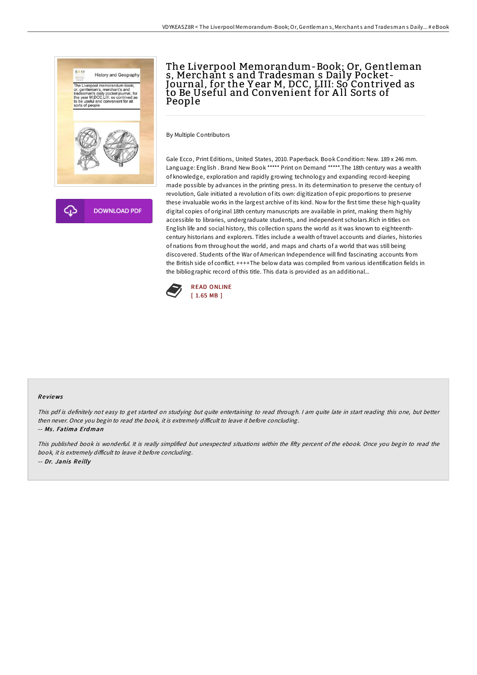

## The Liverpool Memorandum-Book; Or, Gentleman s, Merchant s and Tradesman s Daily Pocket-Journal, for the Y ear M, DCC, LIII: So Contrived as to Be Useful and Convenient for A ll Sorts of People

By Multiple Contributors

Gale Ecco, Print Editions, United States, 2010. Paperback. Book Condition: New. 189 x 246 mm. Language: English . Brand New Book \*\*\*\*\* Print on Demand \*\*\*\*\*.The 18th century was a wealth of knowledge, exploration and rapidly growing technology and expanding record-keeping made possible by advances in the printing press. In its determination to preserve the century of revolution, Gale initiated a revolution of its own: digitization of epic proportions to preserve these invaluable works in the largest archive of its kind. Now for the first time these high-quality digital copies of original 18th century manuscripts are available in print, making them highly accessible to libraries, undergraduate students, and independent scholars.Rich in titles on English life and social history, this collection spans the world as it was known to eighteenthcentury historians and explorers. Titles include a wealth of travel accounts and diaries, histories of nations from throughout the world, and maps and charts of a world that was still being discovered. Students of the War of American Independence will find fascinating accounts from the British side of conflict. ++++The below data was compiled from various identification fields in the bibliographic record of this title. This data is provided as an additional...



#### Re views

This pdf is definitely not easy to get started on studying but quite entertaining to read through. I am quite late in start reading this one, but better then never. Once you begin to read the book, it is extremely difficult to leave it before concluding.

#### -- Ms. Fatima Erdman

This published book is wonderful. It is really simplified but unexpected situations within the fifty percent of the ebook. Once you begin to read the book, it is extremely difficult to leave it before concluding. -- Dr. Janis Reilly